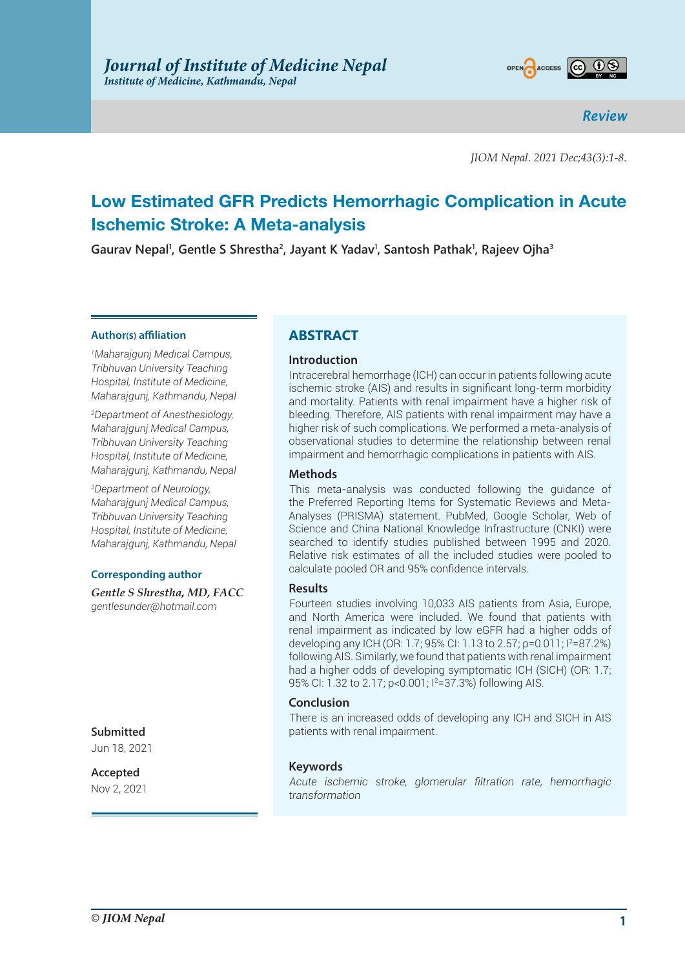

*Review*

*JIOM Nepal. 2021 Dec;43(3):1-8.*

# **Low Estimated GFR Predicts Hemorrhagic Complication in Acute Ischemic Stroke: A Meta-analysis**

**Gaurav Nepal1 , Gentle S Shrestha2 , Jayant K Yadav1 , Santosh Pathak1 , Rajeev Ojha3**

#### **Author(s) affiliation**

*1 Maharajgunj Medical Campus, Tribhuvan University Teaching Hospital, Institute of Medicine, Maharajgunj, Kathmandu, Nepal*

*2 Department of Anesthesiology, Maharajgunj Medical Campus, Tribhuvan University Teaching Hospital, Institute of Medicine, Maharajgunj, Kathmandu, Nepal*

*3 Department of Neurology, Maharajgunj Medical Campus, Tribhuvan University Teaching Hospital, Institute of Medicine, Maharajgunj, Kathmandu, Nepal*

#### **Corresponding author**

*Gentle S Shrestha, MD, FACC gentlesunder@hotmail.com*

**Submitted**

Jun 18, 2021

**Accepted** Nov 2, 2021

## **ABSTRACT**

#### **Introduction**

Intracerebral hemorrhage (ICH) can occur in patients following acute ischemic stroke (AIS) and results in significant long-term morbidity and mortality. Patients with renal impairment have a higher risk of bleeding. Therefore, AIS patients with renal impairment may have a higher risk of such complications. We performed a meta-analysis of observational studies to determine the relationship between renal impairment and hemorrhagic complications in patients with AIS.

#### **Methods**

This meta-analysis was conducted following the guidance of the Preferred Reporting Items for Systematic Reviews and Meta-Analyses (PRISMA) statement. PubMed, Google Scholar, Web of Science and China National Knowledge Infrastructure (CNKI) were searched to identify studies published between 1995 and 2020. Relative risk estimates of all the included studies were pooled to calculate pooled OR and 95% confidence intervals.

#### **Results**

Fourteen studies involving 10,033 AIS patients from Asia, Europe, and North America were included. We found that patients with renal impairment as indicated by low eGFR had a higher odds of developing any ICH (OR: 1.7; 95% CI: 1.13 to 2.57; p=0.011; I<sup>2</sup>=87.2%) following AIS. Similarly, we found that patients with renal impairment had a higher odds of developing symptomatic ICH (SICH) (OR: 1.7; 95% CI: 1.32 to 2.17; p<0.001; I2 =37.3%) following AIS.

#### **Conclusion**

There is an increased odds of developing any ICH and SICH in AIS patients with renal impairment.

### **Keywords**

*Acute ischemic stroke, glomerular filtration rate, hemorrhagic transformation*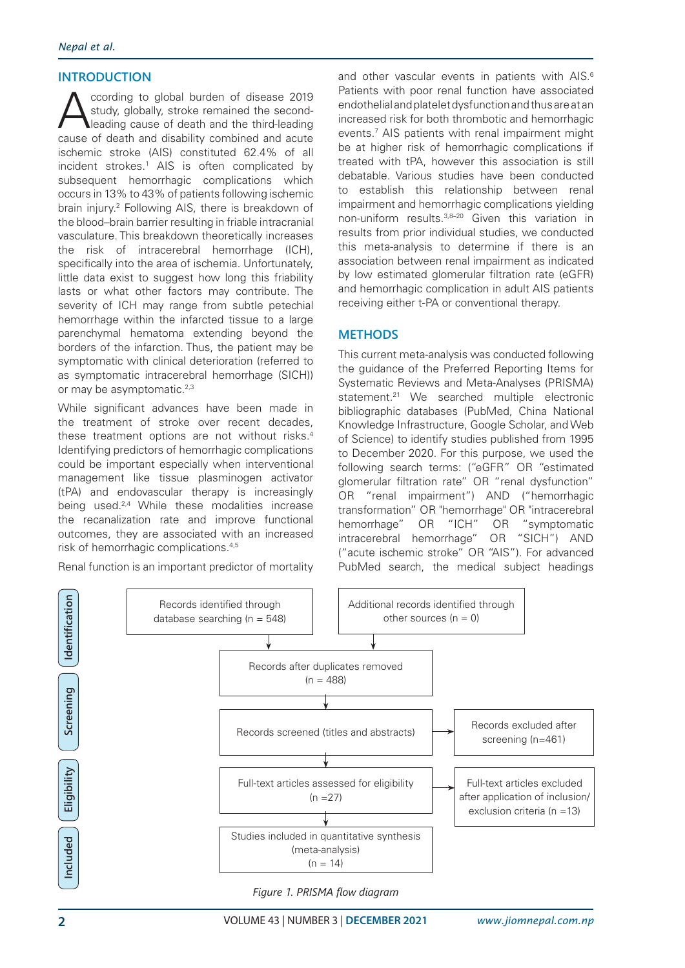## **INTRODUCTION**

Coording to global burden of disease 2019<br>study, globally, stroke remained the second-<br>leading cause of death and the third-leading study, globally, stroke remained the secondleading cause of death and the third-leading cause of death and disability combined and acute ischemic stroke (AIS) constituted 62.4% of all incident strokes.<sup>1</sup> AIS is often complicated by subsequent hemorrhagic complications which occurs in 13% to 43% of patients following ischemic brain injury.2 Following AIS, there is breakdown of the blood–brain barrier resulting in friable intracranial vasculature. This breakdown theoretically increases the risk of intracerebral hemorrhage (ICH), specifically into the area of ischemia. Unfortunately, little data exist to suggest how long this friability lasts or what other factors may contribute. The severity of ICH may range from subtle petechial hemorrhage within the infarcted tissue to a large parenchymal hematoma extending beyond the borders of the infarction. Thus, the patient may be symptomatic with clinical deterioration (referred to as symptomatic intracerebral hemorrhage (SICH)) or may be asymptomatic.<sup>2,3</sup>

While significant advances have been made in the treatment of stroke over recent decades, these treatment options are not without risks.<sup>4</sup> Identifying predictors of hemorrhagic complications could be important especially when interventional management like tissue plasminogen activator (tPA) and endovascular therapy is increasingly being used.<sup>2,4</sup> While these modalities increase the recanalization rate and improve functional outcomes, they are associated with an increased risk of hemorrhagic complications.4,5

Renal function is an important predictor of mortality

and other vascular events in patients with AIS.<sup>6</sup> Patients with poor renal function have associated endothelial and platelet dysfunction and thus are at an increased risk for both thrombotic and hemorrhagic events.7 AIS patients with renal impairment might be at higher risk of hemorrhagic complications if treated with tPA, however this association is still debatable. Various studies have been conducted to establish this relationship between renal impairment and hemorrhagic complications yielding non-uniform results.3,8–20 Given this variation in results from prior individual studies, we conducted this meta-analysis to determine if there is an association between renal impairment as indicated by low estimated glomerular filtration rate (eGFR) and hemorrhagic complication in adult AIS patients receiving either t-PA or conventional therapy.

## **METHODS**

This current meta-analysis was conducted following the guidance of the Preferred Reporting Items for Systematic Reviews and Meta-Analyses (PRISMA) statement.<sup>21</sup> We searched multiple electronic bibliographic databases (PubMed, China National Knowledge Infrastructure, Google Scholar, and Web of Science) to identify studies published from 1995 to December 2020. For this purpose, we used the following search terms: ("eGFR" OR "estimated glomerular filtration rate" OR "renal dysfunction" OR "renal impairment") AND ("hemorrhagic transformation" OR "hemorrhage" OR "intracerebral hemorrhage" OR "ICH" OR "symptomatic intracerebral hemorrhage" OR "SICH") AND ("acute ischemic stroke" OR "AIS"). For advanced PubMed search, the medical subject headings



*Figure 1. PRISMA flow diagram*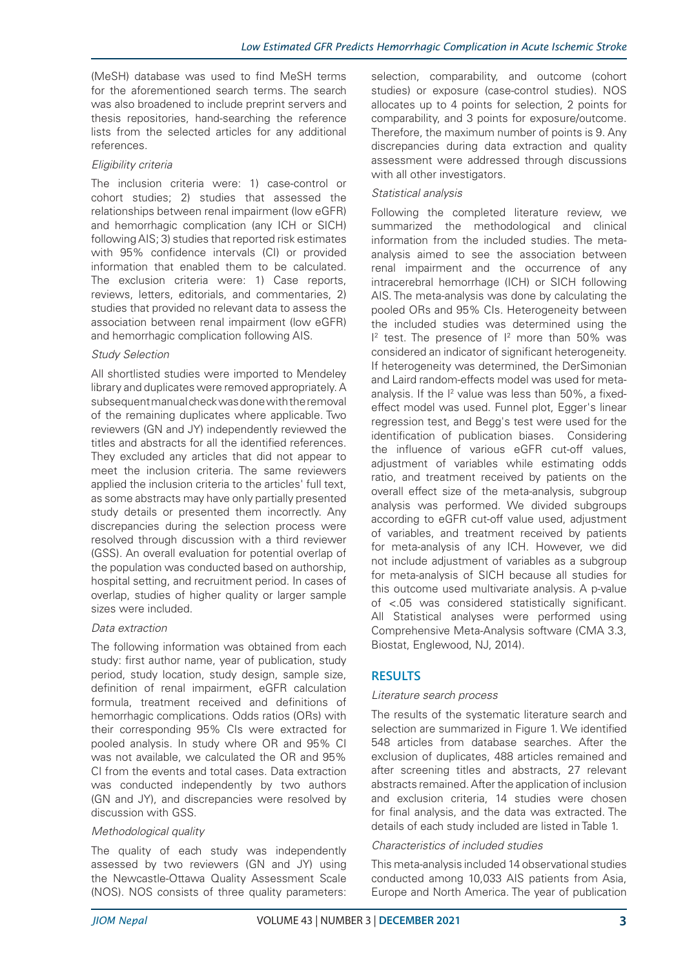(MeSH) database was used to find MeSH terms for the aforementioned search terms. The search was also broadened to include preprint servers and thesis repositories, hand-searching the reference lists from the selected articles for any additional references.

### *Eligibility criteria*

The inclusion criteria were: 1) case-control or cohort studies; 2) studies that assessed the relationships between renal impairment (low eGFR) and hemorrhagic complication (any ICH or SICH) following AIS; 3) studies that reported risk estimates with 95% confidence intervals (CI) or provided information that enabled them to be calculated. The exclusion criteria were: 1) Case reports, reviews, letters, editorials, and commentaries, 2) studies that provided no relevant data to assess the association between renal impairment (low eGFR) and hemorrhagic complication following AIS.

### *Study Selection*

All shortlisted studies were imported to Mendeley library and duplicates were removed appropriately. A subsequent manual check was done with the removal of the remaining duplicates where applicable. Two reviewers (GN and JY) independently reviewed the titles and abstracts for all the identified references. They excluded any articles that did not appear to meet the inclusion criteria. The same reviewers applied the inclusion criteria to the articles' full text, as some abstracts may have only partially presented study details or presented them incorrectly. Any discrepancies during the selection process were resolved through discussion with a third reviewer (GSS). An overall evaluation for potential overlap of the population was conducted based on authorship, hospital setting, and recruitment period. In cases of overlap, studies of higher quality or larger sample sizes were included.

### *Data extraction*

The following information was obtained from each study: first author name, year of publication, study period, study location, study design, sample size, definition of renal impairment, eGFR calculation formula, treatment received and definitions of hemorrhagic complications. Odds ratios (ORs) with their corresponding 95% CIs were extracted for pooled analysis. In study where OR and 95% CI was not available, we calculated the OR and 95% CI from the events and total cases. Data extraction was conducted independently by two authors (GN and JY), and discrepancies were resolved by discussion with GSS.

## *Methodological quality*

The quality of each study was independently assessed by two reviewers (GN and JY) using the Newcastle-Ottawa Quality Assessment Scale (NOS). NOS consists of three quality parameters:

selection, comparability, and outcome (cohort studies) or exposure (case-control studies). NOS allocates up to 4 points for selection, 2 points for comparability, and 3 points for exposure/outcome. Therefore, the maximum number of points is 9. Any discrepancies during data extraction and quality assessment were addressed through discussions with all other investigators.

## *Statistical analysis*

Following the completed literature review, we summarized the methodological and clinical information from the included studies. The metaanalysis aimed to see the association between renal impairment and the occurrence of any intracerebral hemorrhage (ICH) or SICH following AIS. The meta-analysis was done by calculating the pooled ORs and 95% CIs. Heterogeneity between the included studies was determined using the  $1<sup>2</sup>$  test. The presence of  $1<sup>2</sup>$  more than 50% was considered an indicator of significant heterogeneity. If heterogeneity was determined, the DerSimonian and Laird random-effects model was used for metaanalysis. If the  $I<sup>2</sup>$  value was less than 50%, a fixedeffect model was used. Funnel plot, Egger's linear regression test, and Begg's test were used for the identification of publication biases. Considering the influence of various eGFR cut-off values, adjustment of variables while estimating odds ratio, and treatment received by patients on the overall effect size of the meta-analysis, subgroup analysis was performed. We divided subgroups according to eGFR cut-off value used, adjustment of variables, and treatment received by patients for meta-analysis of any ICH. However, we did not include adjustment of variables as a subgroup for meta-analysis of SICH because all studies for this outcome used multivariate analysis. A p-value of <.05 was considered statistically significant. All Statistical analyses were performed using Comprehensive Meta-Analysis software (CMA 3.3, Biostat, Englewood, NJ, 2014).

# **RESULTS**

### *Literature search process*

The results of the systematic literature search and selection are summarized in Figure 1. We identified 548 articles from database searches. After the exclusion of duplicates, 488 articles remained and after screening titles and abstracts, 27 relevant abstracts remained. After the application of inclusion and exclusion criteria, 14 studies were chosen for final analysis, and the data was extracted. The details of each study included are listed in Table 1.

### *Characteristics of included studies*

This meta-analysis included 14 observational studies conducted among 10,033 AIS patients from Asia, Europe and North America. The year of publication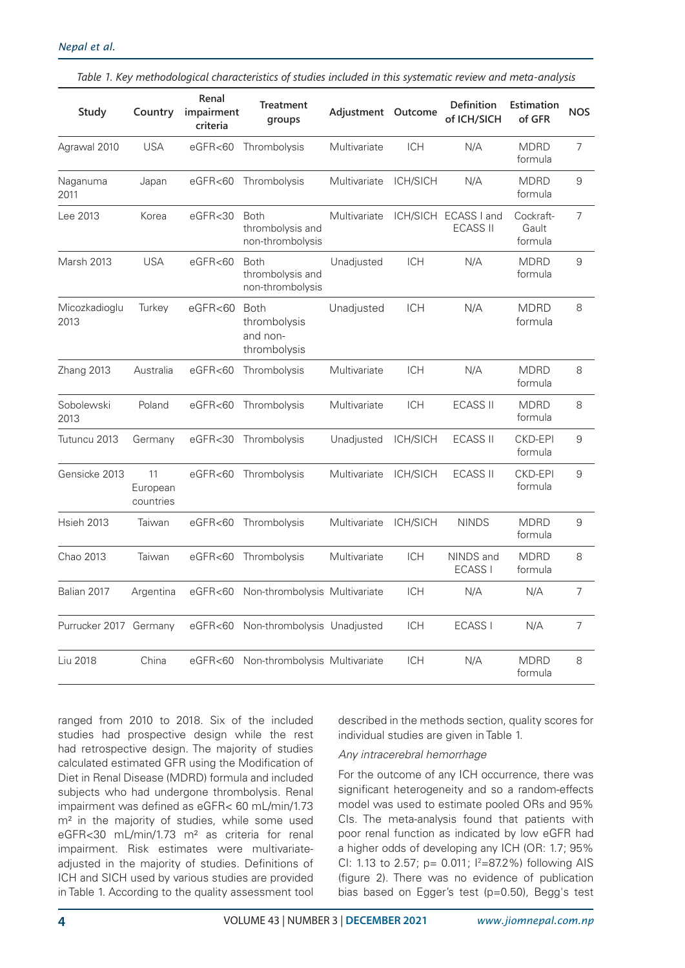| Study                  | Country                     | Renal<br>impairment<br>criteria | <b>Treatment</b><br>groups                              | Adjustment Outcome |                 | Definition<br>of ICH/SICH               | Estimation<br>of GFR          | <b>NOS</b>     |
|------------------------|-----------------------------|---------------------------------|---------------------------------------------------------|--------------------|-----------------|-----------------------------------------|-------------------------------|----------------|
| Agrawal 2010           | <b>USA</b>                  | eGFR <sub>60</sub>              | Thrombolysis                                            | Multivariate       | <b>ICH</b>      | N/A                                     | <b>MDRD</b><br>formula        | 7              |
| Naganuma<br>2011       | Japan                       | eGFR<60                         | Thrombolysis                                            | Multivariate       | ICH/SICH        | N/A                                     | <b>MDRD</b><br>formula        | 9              |
| Lee 2013               | Korea                       | eGFR<30                         | <b>Both</b><br>thrombolysis and<br>non-thrombolysis     | Multivariate       |                 | ICH/SICH ECASS I and<br><b>ECASS II</b> | Cockraft-<br>Gault<br>formula | 7              |
| Marsh 2013             | <b>USA</b>                  | eGFR<60                         | <b>Both</b><br>thrombolysis and<br>non-thrombolysis     | Unadjusted         | <b>ICH</b>      | N/A                                     | <b>MDRD</b><br>formula        | 9              |
| Micozkadioglu<br>2013  | Turkey                      | eGFR <sub>60</sub>              | <b>Both</b><br>thrombolysis<br>and non-<br>thrombolysis | Unadjusted         | <b>ICH</b>      | N/A                                     | <b>MDRD</b><br>formula        | 8              |
| Zhang 2013             | Australia                   | eGFR < 60                       | Thrombolysis                                            | Multivariate       | <b>ICH</b>      | N/A                                     | <b>MDRD</b><br>formula        | 8              |
| Sobolewski<br>2013     | Poland                      | eGFR<60                         | Thrombolysis                                            | Multivariate       | <b>ICH</b>      | <b>ECASS II</b>                         | <b>MDRD</b><br>formula        | 8              |
| Tutuncu 2013           | Germany                     | eGFR<30                         | Thrombolysis                                            | Unadjusted         | ICH/SICH        | <b>ECASS II</b>                         | <b>CKD-EPI</b><br>formula     | 9              |
| Gensicke 2013          | 11<br>European<br>countries |                                 | eGFR<60 Thrombolysis                                    | Multivariate       | ICH/SICH        | <b>ECASS II</b>                         | <b>CKD-EPI</b><br>formula     | 9              |
| <b>Hsieh 2013</b>      | Taiwan                      |                                 | eGFR<60 Thrombolysis                                    | Multivariate       | <b>ICH/SICH</b> | <b>NINDS</b>                            | <b>MDRD</b><br>formula        | 9              |
| Chao 2013              | Taiwan                      |                                 | eGFR<60 Thrombolysis                                    | Multivariate       | <b>ICH</b>      | NINDS and<br><b>ECASS I</b>             | <b>MDRD</b><br>formula        | 8              |
| Balian 2017            | Argentina                   |                                 | eGFR<60 Non-thrombolysis Multivariate                   |                    | <b>ICH</b>      | N/A                                     | N/A                           | 7              |
| Purrucker 2017 Germany |                             | eGFR < 60                       | Non-thrombolysis Unadjusted                             |                    | <b>ICH</b>      | ECASS I                                 | N/A                           | $\overline{7}$ |
| Liu 2018               | China                       | eGFR <sub>60</sub>              | Non-thrombolysis Multivariate                           |                    | <b>ICH</b>      | N/A                                     | <b>MDRD</b><br>formula        | 8              |

*Table 1. Key methodological characteristics of studies included in this systematic review and meta-analysis*

ranged from 2010 to 2018. Six of the included studies had prospective design while the rest had retrospective design. The majority of studies calculated estimated GFR using the Modification of Diet in Renal Disease (MDRD) formula and included subjects who had undergone thrombolysis. Renal impairment was defined as eGFR< 60 mL/min/1.73 m<sup>2</sup> in the majority of studies, while some used eGFR<30 mL/min/1.73 m² as criteria for renal impairment. Risk estimates were multivariateadjusted in the majority of studies. Definitions of ICH and SICH used by various studies are provided in Table 1. According to the quality assessment tool

described in the methods section, quality scores for individual studies are given in Table 1.

#### *Any intracerebral hemorrhage*

For the outcome of any ICH occurrence, there was significant heterogeneity and so a random-effects model was used to estimate pooled ORs and 95% CIs. The meta-analysis found that patients with poor renal function as indicated by low eGFR had a higher odds of developing any ICH (OR: 1.7; 95% CI: 1.13 to 2.57; p= 0.011;  $1^2=87.2\%$ ) following AIS (figure 2). There was no evidence of publication bias based on Egger's test (p=0.50), Begg's test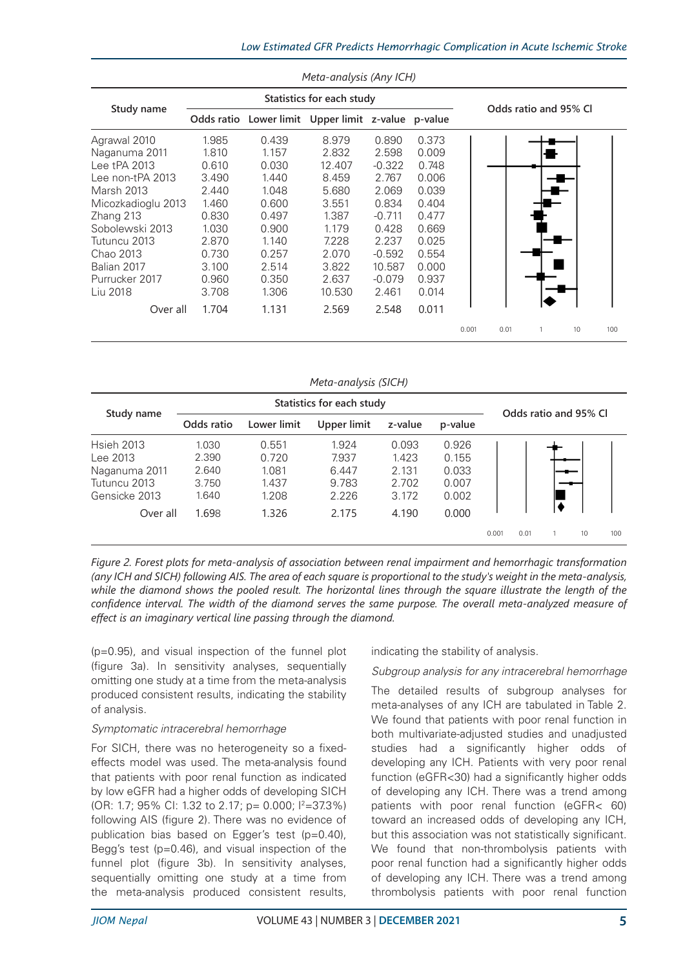|                    |                                                       |       | Meta-analysis (Any ICH) |                       |       |       |      |  |    |     |
|--------------------|-------------------------------------------------------|-------|-------------------------|-----------------------|-------|-------|------|--|----|-----|
|                    |                                                       |       |                         |                       |       |       |      |  |    |     |
| Study name         | Lower limit Upper limit z-value p-value<br>Odds ratio |       |                         | Odds ratio and 95% CI |       |       |      |  |    |     |
| Agrawal 2010       | 1.985                                                 | 0.439 | 8.979                   | 0.890                 | 0.373 |       |      |  |    |     |
| Naganuma 2011      | 1.810                                                 | 1.157 | 2.832                   | 2.598                 | 0.009 |       |      |  |    |     |
| Lee tPA 2013       | 0.610                                                 | 0.030 | 12.407                  | $-0.322$              | 0.748 |       |      |  |    |     |
| Lee non-tPA 2013   | 3.490                                                 | 1.440 | 8.459                   | 2.767                 | 0.006 |       |      |  |    |     |
| <b>Marsh 2013</b>  | 2.440                                                 | 1.048 | 5.680                   | 2.069                 | 0.039 |       |      |  |    |     |
| Micozkadioglu 2013 | 1.460                                                 | 0.600 | 3.551                   | 0.834                 | 0.404 |       |      |  |    |     |
| Zhang 213          | 0.830                                                 | 0.497 | 1.387                   | $-0.711$              | 0.477 |       |      |  |    |     |
| Sobolewski 2013    | 1.030                                                 | 0.900 | 1.179                   | 0.428                 | 0.669 |       |      |  |    |     |
| Tutuncu 2013       | 2.870                                                 | 1.140 | 7.228                   | 2.237                 | 0.025 |       |      |  |    |     |
| Chao 2013          | 0.730                                                 | 0.257 | 2.070                   | $-0.592$              | 0.554 |       |      |  |    |     |
| Balian 2017        | 3.100                                                 | 2.514 | 3.822                   | 10.587                | 0.000 |       |      |  |    |     |
| Purrucker 2017     | 0.960                                                 | 0.350 | 2.637                   | $-0.079$              | 0.937 |       |      |  |    |     |
| Liu 2018           | 3.708                                                 | 1.306 | 10.530                  | 2.461                 | 0.014 |       |      |  |    |     |
| Over all           | 1.704                                                 | 1.131 | 2.569                   | 2.548                 | 0.011 |       |      |  |    |     |
|                    |                                                       |       |                         |                       |       | 0.001 | 0.01 |  | 10 | 100 |

| Meta-analysis (SICH) |                           |             |             |         |         |       |                       |  |    |     |
|----------------------|---------------------------|-------------|-------------|---------|---------|-------|-----------------------|--|----|-----|
|                      | Statistics for each study |             |             |         |         |       |                       |  |    |     |
| Study name           | Odds ratio                | Lower limit | Upper limit | z-value | p-value |       | Odds ratio and 95% CI |  |    |     |
| <b>Hsieh 2013</b>    | 1.030                     | 0.551       | 1.924       | 0.093   | 0.926   |       |                       |  |    |     |
| Lee 2013             | 2.390                     | 0.720       | 7.937       | 1.423   | 0.155   |       |                       |  |    |     |
| Naganuma 2011        | 2.640                     | 1.081       | 6.447       | 2.131   | 0.033   |       |                       |  |    |     |
| Tutuncu 2013         | 3.750                     | 1.437       | 9.783       | 2.702   | 0.007   |       |                       |  |    |     |
| Gensicke 2013        | 1.640                     | 1.208       | 2.226       | 3.172   | 0.002   |       |                       |  |    |     |
| Over all             | 1.698                     | 1.326       | 2.175       | 4.190   | 0.000   |       |                       |  |    |     |
|                      |                           |             |             |         |         | 0.001 | 0.01                  |  | 10 | 100 |

*Figure 2. Forest plots for meta-analysis of association between renal impairment and hemorrhagic transformation (any ICH and SICH) following AIS. The area of each square is proportional to the study's weight in the meta-analysis,*  while the diamond shows the pooled result. The horizontal lines through the square illustrate the length of the *confidence interval. The width of the diamond serves the same purpose. The overall meta-analyzed measure of effect is an imaginary vertical line passing through the diamond.*

(p=0.95), and visual inspection of the funnel plot (figure 3a). In sensitivity analyses, sequentially omitting one study at a time from the meta-analysis produced consistent results, indicating the stability of analysis.

### *Symptomatic intracerebral hemorrhage*

For SICH, there was no heterogeneity so a fixedeffects model was used. The meta-analysis found that patients with poor renal function as indicated by low eGFR had a higher odds of developing SICH (OR: 1.7; 95% CI: 1.32 to 2.17; p= 0.000;  $\frac{12}{37.3\%}$ ) following AIS (figure 2). There was no evidence of publication bias based on Egger's test (p=0.40), Begg's test (p=0.46), and visual inspection of the funnel plot (figure 3b). In sensitivity analyses, sequentially omitting one study at a time from the meta-analysis produced consistent results,

indicating the stability of analysis.

## *Subgroup analysis for any intracerebral hemorrhage*

The detailed results of subgroup analyses for meta-analyses of any ICH are tabulated in Table 2. We found that patients with poor renal function in both multivariate-adjusted studies and unadjusted studies had a significantly higher odds of developing any ICH. Patients with very poor renal function (eGFR<30) had a significantly higher odds of developing any ICH. There was a trend among patients with poor renal function (eGFR< 60) toward an increased odds of developing any ICH, but this association was not statistically significant. We found that non-thrombolysis patients with poor renal function had a significantly higher odds of developing any ICH. There was a trend among thrombolysis patients with poor renal function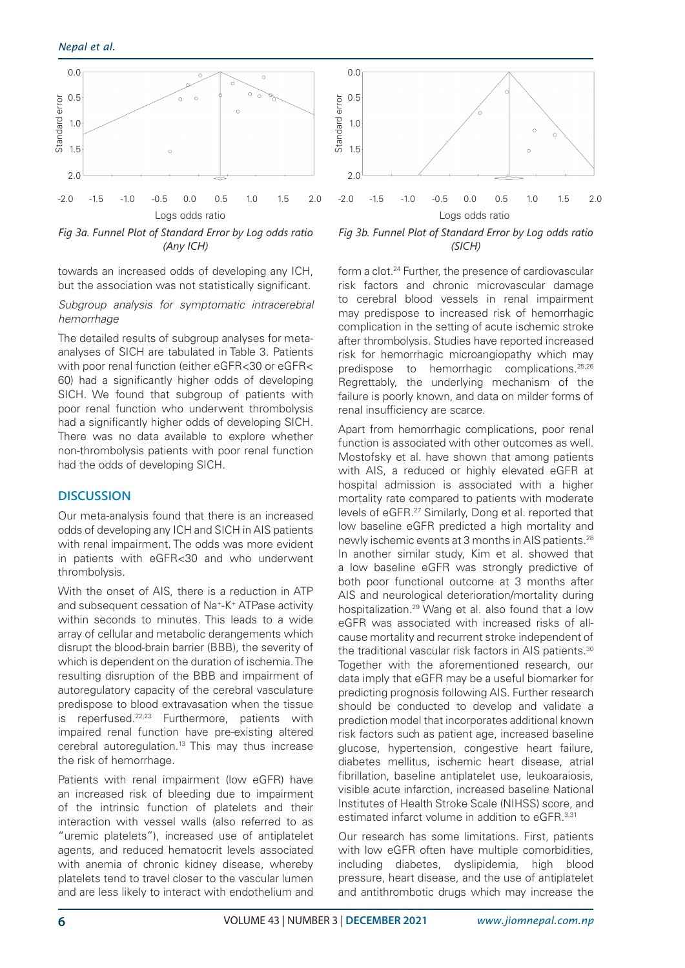

*Fig 3a. Funnel Plot of Standard Error by Log odds ratio (Any ICH)*

towards an increased odds of developing any ICH, but the association was not statistically significant.

#### *Subgroup analysis for symptomatic intracerebral hemorrhage*

The detailed results of subgroup analyses for metaanalyses of SICH are tabulated in Table 3. Patients with poor renal function (either eGFR<30 or eGFR< 60) had a significantly higher odds of developing SICH. We found that subgroup of patients with poor renal function who underwent thrombolysis had a significantly higher odds of developing SICH. There was no data available to explore whether non-thrombolysis patients with poor renal function had the odds of developing SICH.

# **DISCUSSION**

Our meta-analysis found that there is an increased odds of developing any ICH and SICH in AIS patients with renal impairment. The odds was more evident in patients with eGFR<30 and who underwent thrombolysis.

With the onset of AIS, there is a reduction in ATP and subsequent cessation of Na+-K+ ATPase activity within seconds to minutes. This leads to a wide array of cellular and metabolic derangements which disrupt the blood-brain barrier (BBB), the severity of which is dependent on the duration of ischemia. The resulting disruption of the BBB and impairment of autoregulatory capacity of the cerebral vasculature predispose to blood extravasation when the tissue is reperfused.22,23 Furthermore, patients with impaired renal function have pre-existing altered cerebral autoregulation.<sup>13</sup> This may thus increase the risk of hemorrhage.

Patients with renal impairment (low eGFR) have an increased risk of bleeding due to impairment of the intrinsic function of platelets and their interaction with vessel walls (also referred to as "uremic platelets"), increased use of antiplatelet agents, and reduced hematocrit levels associated with anemia of chronic kidney disease, whereby platelets tend to travel closer to the vascular lumen and are less likely to interact with endothelium and



*Fig 3b. Funnel Plot of Standard Error by Log odds ratio (SICH)*

form a clot.<sup>24</sup> Further, the presence of cardiovascular risk factors and chronic microvascular damage to cerebral blood vessels in renal impairment may predispose to increased risk of hemorrhagic complication in the setting of acute ischemic stroke after thrombolysis. Studies have reported increased risk for hemorrhagic microangiopathy which may predispose to hemorrhagic complications.<sup>25,26</sup> Regrettably, the underlying mechanism of the failure is poorly known, and data on milder forms of renal insufficiency are scarce.

Apart from hemorrhagic complications, poor renal function is associated with other outcomes as well. Mostofsky et al. have shown that among patients with AIS, a reduced or highly elevated eGFR at hospital admission is associated with a higher mortality rate compared to patients with moderate levels of eGFR.27 Similarly, Dong et al. reported that low baseline eGFR predicted a high mortality and newly ischemic events at 3 months in AIS patients.28 In another similar study, Kim et al. showed that a low baseline eGFR was strongly predictive of both poor functional outcome at 3 months after AIS and neurological deterioration/mortality during hospitalization.29 Wang et al. also found that a low eGFR was associated with increased risks of allcause mortality and recurrent stroke independent of the traditional vascular risk factors in AIS patients.<sup>30</sup> Together with the aforementioned research, our data imply that eGFR may be a useful biomarker for predicting prognosis following AIS. Further research should be conducted to develop and validate a prediction model that incorporates additional known risk factors such as patient age, increased baseline glucose, hypertension, congestive heart failure, diabetes mellitus, ischemic heart disease, atrial fibrillation, baseline antiplatelet use, leukoaraiosis, visible acute infarction, increased baseline National Institutes of Health Stroke Scale (NIHSS) score, and estimated infarct volume in addition to eGFR.<sup>3,31</sup>

Our research has some limitations. First, patients with low eGFR often have multiple comorbidities, including diabetes, dyslipidemia, high blood pressure, heart disease, and the use of antiplatelet and antithrombotic drugs which may increase the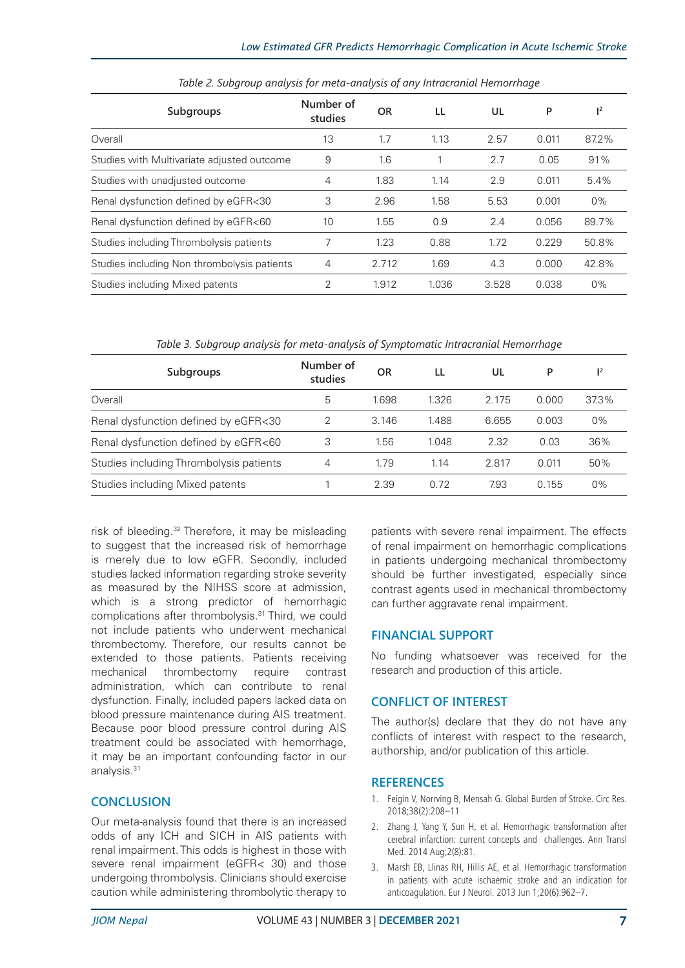| Subgroups                                   | Number of<br>studies | <b>OR</b> | LL    | UL    | P     | $\mathsf{I}^2$ |
|---------------------------------------------|----------------------|-----------|-------|-------|-------|----------------|
| Overall                                     | 13                   | 1.7       | 1.13  | 2.57  | 0.011 | 87.2%          |
| Studies with Multivariate adjusted outcome  | 9                    | 1.6       |       | 2.7   | 0.05  | 91%            |
| Studies with unadjusted outcome             | 4                    | 1.83      | 1.14  | 2.9   | 0.011 | 5.4%           |
| Renal dysfunction defined by eGFR<30        | 3                    | 2.96      | 1.58  | 5.53  | 0.001 | $0\%$          |
| Renal dysfunction defined by eGFR<60        | 10                   | 1.55      | 0.9   | 2.4   | 0.056 | 89.7%          |
| Studies including Thrombolysis patients     | 7                    | 1.23      | 0.88  | 1.72  | 0.229 | 50.8%          |
| Studies including Non thrombolysis patients | 4                    | 2.712     | 1.69  | 4.3   | 0.000 | 42.8%          |
| Studies including Mixed patents             | 2                    | 1.912     | 1.036 | 3.528 | 0.038 | $0\%$          |

*Table 2. Subgroup analysis for meta-analysis of any Intracranial Hemorrhage*

*Table 3. Subgroup analysis for meta-analysis of Symptomatic Intracranial Hemorrhage*

| Subgroups                               | Number of<br>studies | OR    | LL    | UL    | P     | 1 <sup>2</sup> |
|-----------------------------------------|----------------------|-------|-------|-------|-------|----------------|
| Overall                                 | 5                    | 1.698 | 1.326 | 2.175 | 0.000 | 37.3%          |
| Renal dysfunction defined by eGFR<30    | っ                    | 3.146 | 1.488 | 6.655 | 0.003 | $0\%$          |
| Renal dysfunction defined by eGFR<60    | 3                    | 1.56  | 1.048 | 2.32  | 0.03  | 36%            |
| Studies including Thrombolysis patients | 4                    | 1.79  | 1.14  | 2.817 | 0.011 | 50%            |
| Studies including Mixed patents         |                      | 2.39  | 0.72  | 7.93  | 0.155 | $0\%$          |

risk of bleeding.32 Therefore, it may be misleading to suggest that the increased risk of hemorrhage is merely due to low eGFR. Secondly, included studies lacked information regarding stroke severity as measured by the NIHSS score at admission, which is a strong predictor of hemorrhagic complications after thrombolysis.31 Third, we could not include patients who underwent mechanical thrombectomy. Therefore, our results cannot be extended to those patients. Patients receiving mechanical thrombectomy require contrast administration, which can contribute to renal dysfunction. Finally, included papers lacked data on blood pressure maintenance during AIS treatment. Because poor blood pressure control during AIS treatment could be associated with hemorrhage, it may be an important confounding factor in our analysis.31

# **CONCLUSION**

Our meta-analysis found that there is an increased odds of any ICH and SICH in AIS patients with renal impairment. This odds is highest in those with severe renal impairment (eGFR< 30) and those undergoing thrombolysis. Clinicians should exercise caution while administering thrombolytic therapy to

patients with severe renal impairment. The effects of renal impairment on hemorrhagic complications in patients undergoing mechanical thrombectomy should be further investigated, especially since contrast agents used in mechanical thrombectomy can further aggravate renal impairment.

# **FINANCIAL SUPPORT**

No funding whatsoever was received for the research and production of this article.

# **CONFLICT OF INTEREST**

The author(s) declare that they do not have any conflicts of interest with respect to the research, authorship, and/or publication of this article.

## **REFERENCES**

- 1. Feigin V, Norrving B, Mensah G. Global Burden of Stroke. Circ Res. 2018;38(2):208–11
- 2. Zhang J, Yang Y, Sun H, et al. Hemorrhagic transformation after cerebral infarction: current concepts and challenges. Ann Transl Med. 2014 Aug;2(8):81.
- 3. Marsh EB, Llinas RH, Hillis AE, et al. Hemorrhagic transformation in patients with acute ischaemic stroke and an indication for anticoagulation. Eur J Neurol. 2013 Jun 1;20(6):962–7.